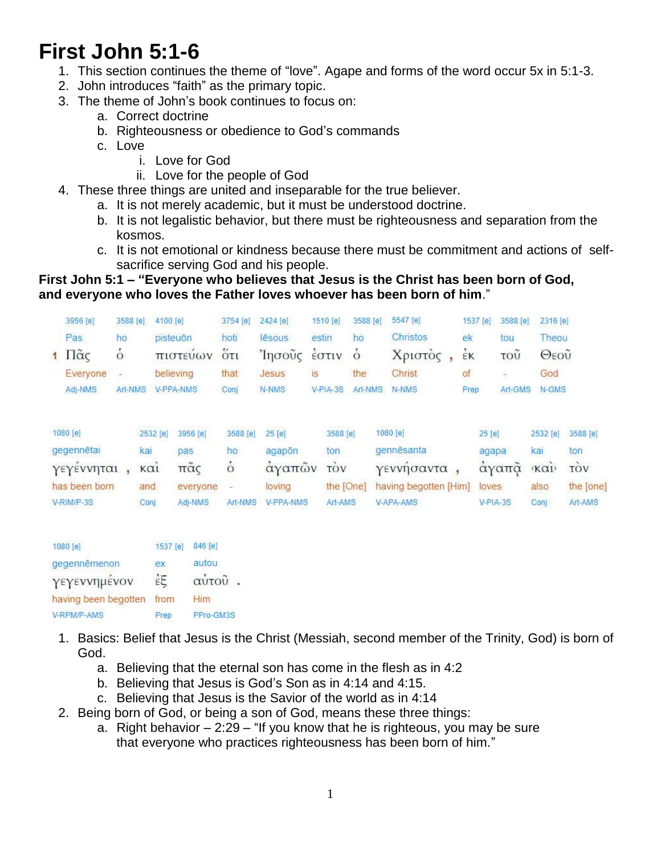# **First John 5:1-6**

- 1. This section continues the theme of "love". Agape and forms of the word occur 5x in 5:1-3.
- 2. John introduces "faith" as the primary topic.
- 3. The theme of John's book continues to focus on:
	- a. Correct doctrine
	- b. Righteousness or obedience to God's commands
	- c. Love
		- i. Love for God
		- ii. Love for the people of God
- 4. These three things are united and inseparable for the true believer.
	- a. It is not merely academic, but it must be understood doctrine.
	- b. It is not legalistic behavior, but there must be righteousness and separation from the kosmos.
	- c. It is not emotional or kindness because there must be commitment and actions of selfsacrifice serving God and his people.

## **First John 5:1 – "Everyone who believes that Jesus is the Christ has been born of God, and everyone who loves the Father loves whoever has been born of him**."

| 3956 [e]                      | 3588 [e] | 4100 [e]             | 3754 [e]  | 2424 [e] | 1510 [e]  | 3588 [e] | 5547 [e] | 1537 [e]       | 3588 [e] | 2316 [e]             |
|-------------------------------|----------|----------------------|-----------|----------|-----------|----------|----------|----------------|----------|----------------------|
| Pas                           | ho       | pisteuōn             | hoti      | lēsous   | estin     | ho       | Christos | ek             | tou      | Theou                |
| $1 \text{ }\Pi\tilde{\alpha}$ | $\circ$  | πιστευων             | $5\sigma$ | Ίησοὖς   | EOTIV     | $\circ$  | Χριστός, | $\frac{1}{2}K$ | τοῦ      | Θεοῦ                 |
| Everyone                      | ÷        | believing            | that      | Jesus    | <b>is</b> | the      | Christ   | of             | ಾ        | God                  |
| Adj-NMS                       | Art-NMS  | V-PPA-NMS            | Conj      | N-NMS    | V-PIA-3S  | Art-NMS  | N-NMS    | Prep           | Art-GMS  | N-GMS                |
| $19923691 =$                  |          |                      |           |          |           |          |          | <b>OBLER</b>   |          |                      |
| $1080$ [e]                    |          | 3956 [e]<br>2532 [e] | 3588 [e]  | $25$ [e] | 3588 [e]  |          | 1080 [e] | 25 [e]         |          | 3588 [e]<br>2532 [e] |

| $100V$ $C$      |      | SOPY ISI 2930 ISI   | $3000$ IEI $20$ IEI |                  | <b>DOOO</b> IEI | 100016                                | <b>ZU IEI</b> |      | 2332 G 3300 G |
|-----------------|------|---------------------|---------------------|------------------|-----------------|---------------------------------------|---------------|------|---------------|
| gegennētai      | kai  | pas                 | ho                  | agapon           | ton             | gennēsanta                            | adapa         | kai  | ton           |
| γεγέννηται, και |      | $\pi\tilde{\alpha}$ |                     | άγαπῶν τὸν       |                 | γεννήσαντα,                           | άγαπᾶ «καυ    |      | <b>TOV</b>    |
| has been born   | and  | everyone            |                     | loving           |                 | the [One] having begotten [Him] loves |               | also | the [one]     |
| V-RIM/P-3S      | Coni | Adi-NMS             | Art-NMS             | <b>V-PPA-NMS</b> | Art-AMS         | V-APA-AMS                             | $V-PIA-3S$    | Coni | Art-AMS       |
|                 |      |                     |                     |                  |                 |                                       |               |      |               |

| 1080 [e]                  | 1537 [e] | 846 [e]   |
|---------------------------|----------|-----------|
| gegennēmenon              | ex       | autou     |
| γεγεννημένον              | έE       | αύτοῦ     |
| having been begotten from |          | Him       |
| V-RPM/P-AMS               | Prep     | PPro-GM3S |

- 1. Basics: Belief that Jesus is the Christ (Messiah, second member of the Trinity, God) is born of God.
	- a. Believing that the eternal son has come in the flesh as in 4:2
	- b. Believing that Jesus is God's Son as in 4:14 and 4:15.
	- c. Believing that Jesus is the Savior of the world as in 4:14
- 2. Being born of God, or being a son of God, means these three things:
	- a. Right behavior 2:29 "If you know that he is righteous, you may be sure that everyone who practices righteousness has been born of him."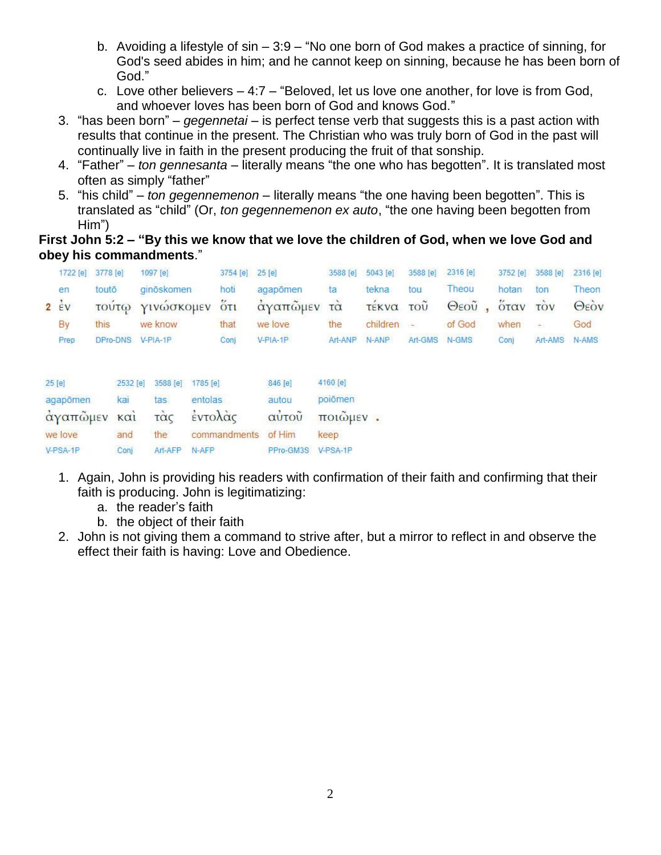- b. Avoiding a lifestyle of sin 3:9 "No one born of God makes a practice of sinning, for God's seed abides in him; and he cannot keep on sinning, because he has been born of God."
- c. Love other believers 4:7 "Beloved, let us love one another, for love is from God, and whoever loves has been born of God and knows God."
- 3. "has been born" *gegennetai* is perfect tense verb that suggests this is a past action with results that continue in the present. The Christian who was truly born of God in the past will continually live in faith in the present producing the fruit of that sonship.
- 4. "Father" *ton gennesanta* literally means "the one who has begotten". It is translated most often as simply "father"
- 5. "his child" *ton gegennemenon*  literally means "the one having been begotten". This is translated as "child" (Or, *ton gegennemenon ex auto*, "the one having been begotten from Him")

### **First John 5:2 – "By this we know that we love the children of God, when we love God and obey his commandments**."

| 1722 [e]                                                     | 3778 [e] |                                       | 1097 [e]                      | 3754 [e]                                              | 25 [e]                    | 3588 [e]                                | 5043 [e]                   | 3588 [e]      | 2316 [e] | 3752 [e] | 3588 [e]       | 2316 [e] |
|--------------------------------------------------------------|----------|---------------------------------------|-------------------------------|-------------------------------------------------------|---------------------------|-----------------------------------------|----------------------------|---------------|----------|----------|----------------|----------|
| en                                                           | touto    |                                       | ginöskomen                    | hoti                                                  | agapomen                  | ta                                      | tekna                      | tou           | Theou    | hotan    | ton            | Theon    |
| $2 \div v$                                                   |          | <b>TOUT()</b>                         | ΥΙνωσκομεν                    | $5\tau_1$                                             | άγαπώμεν                  | τά                                      | <b><i><u>TEKVO</u></i></b> | τοῦ           | Θεοῦ     | όταν     | <b>TOV</b>     | Θεόν     |
| By                                                           | this     |                                       | we know                       | that                                                  | we love                   | the                                     | children                   | $\rightarrow$ | of God   | when     | $\overline{ }$ | God      |
| Prep                                                         |          |                                       | DPro-DNS V-PIA-1P             | Conj                                                  | $V-PIA-1P$                | Art-ANP                                 | N-ANP                      | Art-GMS N-GMS |          | Coni     | Art-AMS        | N-AMS    |
| <b>SAVINARY</b><br>25 [e]<br>agapômen<br>άγαπῶμεν<br>we love |          | 2532 [e]<br>kai<br>$k\alpha i$<br>and | 3588 [e]<br>tas<br>τὰς<br>the | 1785 [e]<br>entolas<br>έντολάς<br>commandments of Him | 846 [e]<br>autou<br>αυτοῦ | 4160 [e]<br>poiōmen<br>ποιῶμεν.<br>keep |                            |               |          |          |                |          |
| V-PSA-1P                                                     |          | Conj                                  | Art-AFP                       | N-AFP                                                 | PPro-GM3S                 | V-PSA-1P                                |                            |               |          |          |                |          |

- 1. Again, John is providing his readers with confirmation of their faith and confirming that their faith is producing. John is legitimatizing:
	- a. the reader's faith
	- b. the object of their faith
- 2. John is not giving them a command to strive after, but a mirror to reflect in and observe the effect their faith is having: Love and Obedience.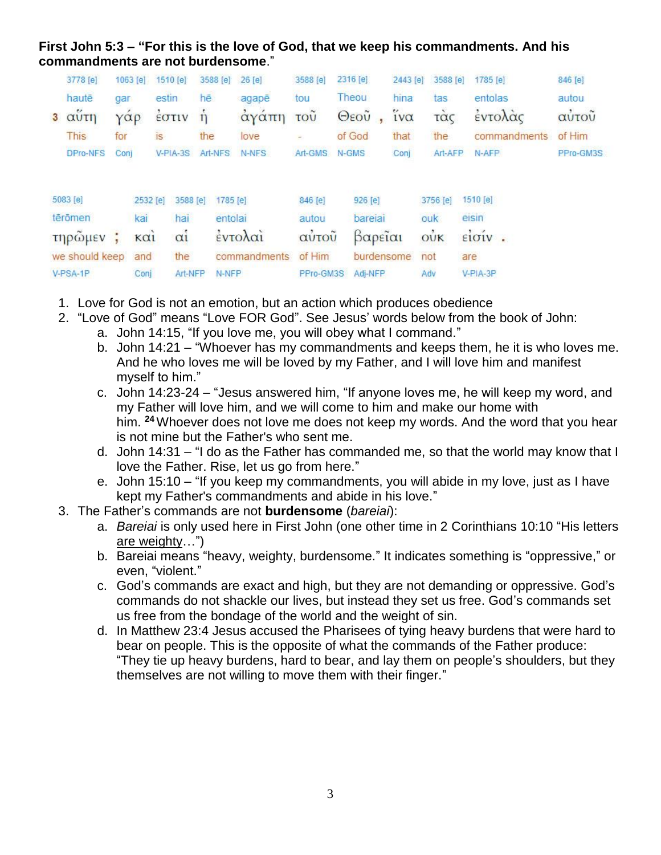### **First John 5:3 – "For this is the love of God, that we keep his commandments. And his commandments are not burdensome**."

| 3778 [e]       |                      | 1063 [e]                       | 1510 [e]       | 3588 [e]           | 26 [e]       | 3588 [e]         | 2316 [e]     | 2443 [e]               | 3588 [e]   | 1785 [e]                         | 846 [e]   |
|----------------|----------------------|--------------------------------|----------------|--------------------|--------------|------------------|--------------|------------------------|------------|----------------------------------|-----------|
| hautē          | gar                  |                                | estin          | hē                 | agapē        | tou              | Theou        | hina                   | tas        | entolas                          | autou     |
| 3 αυτη         | $\gamma \alpha \rho$ |                                | EOTIV          | $\mathbf{\hat{n}}$ | αγαπη        | $\overline{100}$ | $\Theta$ εοῦ | $\tilde{i} \nu \alpha$ | τὰς        | έντολάς                          | αὐτοῦ     |
| This           | for                  |                                | İS.            | the                | love         |                  | of God       | that                   | the        | commandments                     | of Him    |
| DPro-NFS       | Coni                 |                                | $V-PIA-3S$     | Art-NFS            | N-NFS        | Art-GMS          | N-GMS        | Conj                   | Art-AFP    | N-AFP                            | PPro-GM3S |
| 5083 [e]       |                      | 2532 [e]                       | 3588 [e]       | 1785 [e]           |              | 846 [e]          | 926 [e]      |                        | 3756 [e]   | 1510 [e]                         |           |
| tērōmen        |                      | kai                            | hai            | entolai            |              | autou            | bareiai      |                        | ouk        | eisin                            |           |
| τηρώμεν        | ÷                    | $\kappa$ $\alpha$ <sub>i</sub> | $\alpha i$     |                    | έντολαι      | αύτοῦ            | βαρεΐαι      |                        | $\vec{ow}$ | $e^i$ <sub>i</sub> $o^i$ $\cdot$ |           |
| we should keep |                      | and                            | the            |                    | commandments | of Him           | burdensome   |                        | not        | are                              |           |
| V-PSA-1P       |                      | Conj                           | <b>Art-NFP</b> | N-NFP              |              | PPro-GM3S        | Adj-NFP      |                        | Adv        | $V-PIA-3P$                       |           |

- 1. Love for God is not an emotion, but an action which produces obedience
- 2. "Love of God" means "Love FOR God". See Jesus' words below from the book of John:
	- a. John 14:15, "If you love me, you will obey what I command."
	- b. John 14:21 "Whoever has my commandments and keeps them, he it is who loves me. And he who loves me will be loved by my Father, and I will love him and manifest myself to him."
	- c. John 14:23-24 "Jesus answered him, "If anyone loves me, he will keep my word, and my Father will love him, and we will come to him and make our home with him. **<sup>24</sup>** Whoever does not love me does not keep my words. And the word that you hear is not mine but the Father's who sent me.
	- d. John 14:31 "I do as the Father has commanded me, so that the world may know that I love the Father. Rise, let us go from here."
	- e. John 15:10 "If you keep my commandments, you will abide in my love, just as I have kept my Father's commandments and abide in his love."
- 3. The Father's commands are not **burdensome** (*bareiai*):
	- a. *Bareiai* is only used here in First John (one other time in 2 Corinthians 10:10 "His letters are weighty…")
	- b. Bareiai means "heavy, weighty, burdensome." It indicates something is "oppressive," or even, "violent."
	- c. God's commands are exact and high, but they are not demanding or oppressive. God's commands do not shackle our lives, but instead they set us free. God's commands set us free from the bondage of the world and the weight of sin.
	- d. In Matthew 23:4 Jesus accused the Pharisees of tying heavy burdens that were hard to bear on people. This is the opposite of what the commands of the Father produce: "They tie up heavy burdens, hard to bear, and lay them on people's shoulders, but they themselves are not willing to move them with their finger."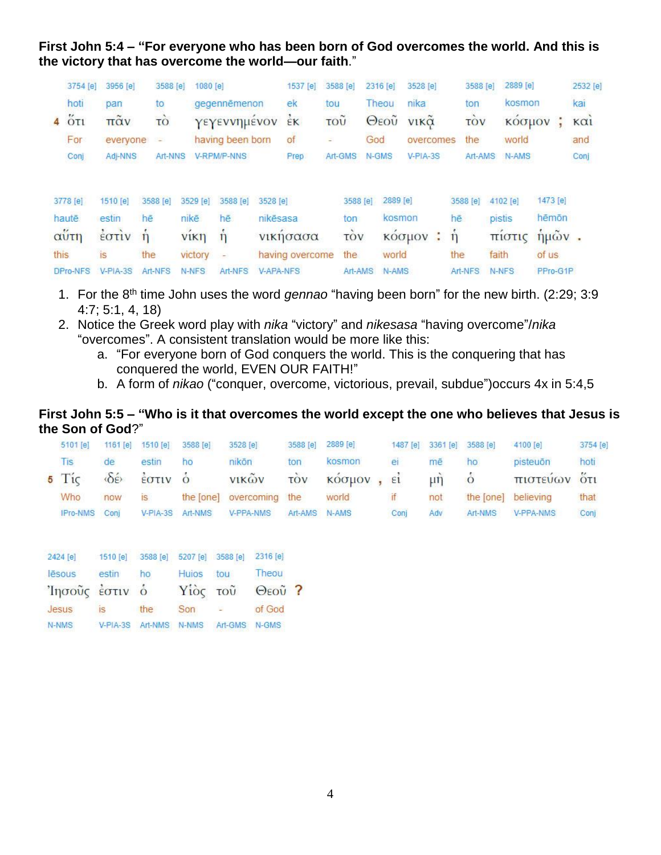**First John 5:4 – "For everyone who has been born of God overcomes the world. And this is the victory that has overcome the world—our faith**."

|      | 3754 [e]          | 3956 [e]   | 3588 [e]        | 1080 [e]    |                          |                  | 1537 [e]        | 3588 [e] |          | 2316 [e] | 3528 [e]    |   | 3588 [e]          |        | 2889 [e] |             | 2532 [e]        |
|------|-------------------|------------|-----------------|-------------|--------------------------|------------------|-----------------|----------|----------|----------|-------------|---|-------------------|--------|----------|-------------|-----------------|
|      | hoti              | pan        | to              |             | gegennēmenon             |                  | ek              | tou      |          | Theou    | nika        |   | ton               |        | kosmon   |             | kai             |
|      | $4\tilde{\sigma}$ | παν        | τò              |             | γεγεννημένον             |                  | $\frac{1}{2}K$  | τοῦ      |          | Θεοῦ     | <b>νικα</b> |   | TOV               |        | κοσμον   |             | K <sub>α1</sub> |
|      | For               | everyone   |                 |             | having been born         |                  | of              | E.       | God      |          | overcomes   |   | the               |        | world    |             | and             |
|      | Conj              | Adi-NNS    | Art-NNS         |             | V-RPM/P-NNS              |                  | Prep            | Art-GMS  |          | N-GMS    | V-PIA-3S    |   | Art-AMS           |        | N-AMS    |             | Conj            |
|      |                   |            |                 |             |                          |                  |                 |          |          |          |             |   |                   |        |          |             |                 |
|      | 3778 [e]          | 1510 [e]   | 3588 [e]        | 3529 [e]    | 3588 [e]                 | 3528 [e]         |                 |          | 3588 [e] | 2889 [e] |             |   | 3588 [e]          |        | 4102 [e] | 1473 [e]    |                 |
|      | hautē             | estin      | hē              | nikē:       | hē                       | nikēsasa         |                 |          | ton      | kosmon   |             |   | hē                | pistis |          | hēmōn       |                 |
|      | αΰτη              | EOTIV      | $\mathsf{\eta}$ | <b>VIKI</b> | $\mathbf{n}$             |                  | νικησασα        |          | TOV      |          | κοσμον      | ÷ | $\overline{\eta}$ |        | πιστις   | $\eta$ μών. |                 |
| this |                   | is         | the             | victory     | $\overline{\phantom{a}}$ |                  | having overcome |          | the      | world    |             |   | the               | faith  |          | of us       |                 |
|      | DPro-NFS          | $V-PIA-3S$ | Art-NFS         | N-NFS       | Art-NFS                  | <b>V-APA-NFS</b> |                 |          | Art-AMS  | N-AMS    |             |   | Art-NFS           |        | N-NFS    | PPro-G1P    |                 |

- 1. For the 8th time John uses the word *gennao* "having been born" for the new birth. (2:29; 3:9 4:7; 5:1, 4, 18)
- 2. Notice the Greek word play with *nika* "victory" and *nikesasa* "having overcome"/*nika* "overcomes". A consistent translation would be more like this:
	- a. "For everyone born of God conquers the world. This is the conquering that has conquered the world, EVEN OUR FAITH!"
	- b. A form of *nikao* ("conquer, overcome, victorious, prevail, subdue")occurs 4x in 5:4,5

#### **First John 5:5 – "Who is it that overcomes the world except the one who believes that Jesus is the Son of God**?"

| 5101 [e]        | 1161[e]                              | 1510 [e]       | 3588 [e]         | 3528 [e]                 | 3588 [e]      | $2889$ [e] |      | 1487 [e] 3361 [e]  | 3588 [e] | 4100 [e]            | 3754 [e] |
|-----------------|--------------------------------------|----------------|------------------|--------------------------|---------------|------------|------|--------------------|----------|---------------------|----------|
| <b>Tis</b>      | de                                   | estin          | ho               | nikōn                    | ton           | kosmon     | ei   | mē                 | ho       | pisteuōn            | hoti     |
| $5$ Tic         | $\langle \delta \varepsilon \rangle$ | έστιν ο        |                  | <b>VIKWV</b>             | TOV           | κόσμον, εί |      | $\mu$ <sub>1</sub> | $\circ$  | πιστεύων ότι        |          |
| Who             | now                                  | $\overline{S}$ |                  | the [one] overcoming the |               | world      |      | not                |          | the [one] believing | that     |
| <b>IPro-NMS</b> | Coni                                 |                | V-PIA-3S Art-NMS | V-PPA-NMS                | Art-AMS N-AMS |            | Coni | Adv                | Art-NMS  | V-PPA-NMS           | Conj     |

| 2424 [e]       | 1510 [e] 3588 [e] 5207 [e] 3588 [e]  |     |          |          | 2316 [e]       |  |
|----------------|--------------------------------------|-----|----------|----------|----------------|--|
| lēsous         | estin                                | ho  | Huios    | tou      | Theou          |  |
| Ίησοὖς έστιν ὁ |                                      |     | Υίὸς τοῦ |          | $\Theta$ εοῦ ? |  |
| Jesus          | IS                                   | the | Son      | $\equiv$ | of God         |  |
| N-NMS          | V-PIA-3S Art-NMS N-NMS Art-GMS N-GMS |     |          |          |                |  |